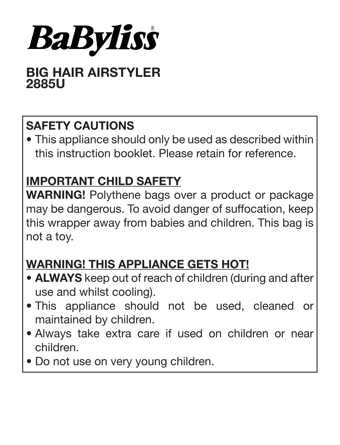

# BIG HAIR AIRSTYLER 2885U

# SAFETY CAUTIONS

• This appliance should only be used as described within this instruction booklet. Please retain for reference.

# IMPORTANT CHILD SAFETY

WARNING! Polythene bags over a product or package may be dangerous. To avoid danger of suffocation, keep this wrapper away from babies and children. This bag is not a toy.

# WARNING! THIS APPLIANCE GETS HOT!

- **ALWAYS** keep out of reach of children (during and after use and whilst cooling).
- This appliance should not be used, cleaned or maintained by children.
- Always take extra care if used on children or near children.
- Do not use on very young children.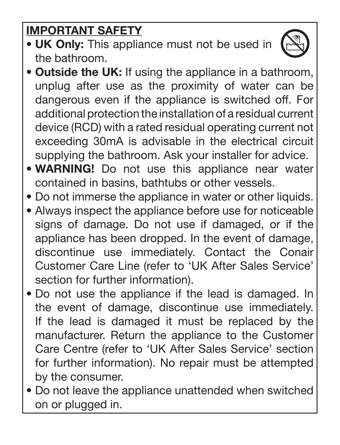# IMPORTANT SAFETY

- UK Only: This appliance must not be used in the bathroom.
- Outside the UK: If using the appliance in a bathroom, unplug after use as the proximity of water can be dangerous even if the appliance is switched off. For additional protection the installation of a residual current device (RCD) with a rated residual operating current not exceeding 30mA is advisable in the electrical circuit supplying the bathroom. Ask your installer for advice.
- WARNING! Do not use this appliance near water contained in basins, bathtubs or other vessels.
- Do not immerse the appliance in water or other liquids.
- Always inspect the appliance before use for noticeable signs of damage. Do not use if damaged, or if the appliance has been dropped. In the event of damage, discontinue use immediately. Contact the Conair Customer Care Line (refer to 'UK After Sales Service' section for further information).
- Do not use the appliance if the lead is damaged. In the event of damage, discontinue use immediately. If the lead is damaged it must be replaced by the manufacturer. Return the appliance to the Customer Care Centre (refer to 'UK After Sales Service' section for further information). No repair must be attempted by the consumer.
- Do not leave the appliance unattended when switched on or plugged in.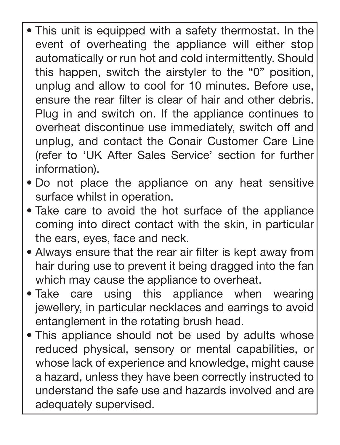- This unit is equipped with a safety thermostat. In the event of overheating the appliance will either stop automatically or run hot and cold intermittently. Should this happen, switch the airstyler to the "0" position, unplug and allow to cool for 10 minutes. Before use, ensure the rear filter is clear of hair and other debris. Plug in and switch on. If the appliance continues to overheat discontinue use immediately, switch off and unplug, and contact the Conair Customer Care Line (refer to 'UK After Sales Service' section for further information).  $\overline{\phantom{a}}$
- Do not place the appliance on any heat sensitive surface whilst in operation.
- Take care to avoid the hot surface of the appliance coming into direct contact with the skin, in particular the ears, eyes, face and neck.
- Always ensure that the rear air filter is kept away from hair during use to prevent it being dragged into the fan which may cause the appliance to overheat.
- Take care using this appliance when wearing jewellery, in particular necklaces and earrings to avoid entanglement in the rotating brush head.
- This appliance should not be used by adults whose reduced physical, sensory or mental capabilities, or whose lack of experience and knowledge, might cause a hazard, unless they have been correctly instructed to understand the safe use and hazards involved and are adequately supervised.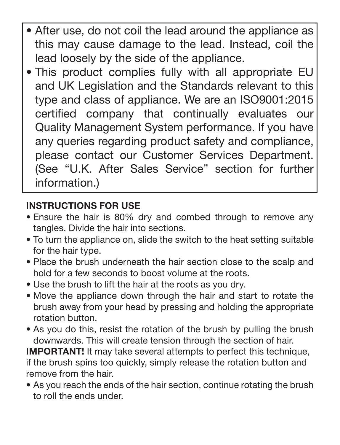- After use, do not coil the lead around the appliance as this may cause damage to the lead. Instead, coil the lead loosely by the side of the appliance. Γ
- This product complies fully with all appropriate EU and UK Legislation and the Standards relevant to this type and class of appliance. We are an ISO9001:2015 certified company that continually evaluates our Quality Management System performance. If you have any queries regarding product safety and compliance, please contact our Customer Services Department. (See "U.K. After Sales Service" section for further information.)

# INSTRUCTIONS FOR USE

- Ensure the hair is 80% dry and combed through to remove any tangles. Divide the hair into sections.
- To turn the appliance on, slide the switch to the heat setting suitable for the hair type.
- Place the brush underneath the hair section close to the scalp and hold for a few seconds to boost volume at the roots.
- Use the brush to lift the hair at the roots as you dry.
- Move the appliance down through the hair and start to rotate the brush away from your head by pressing and holding the appropriate rotation button.
- As you do this, resist the rotation of the brush by pulling the brush downwards. This will create tension through the section of hair.

IMPORTANT! It may take several attempts to perfect this technique, if the brush spins too quickly, simply release the rotation button and remove from the hair.

• As you reach the ends of the hair section, continue rotating the brush to roll the ends under.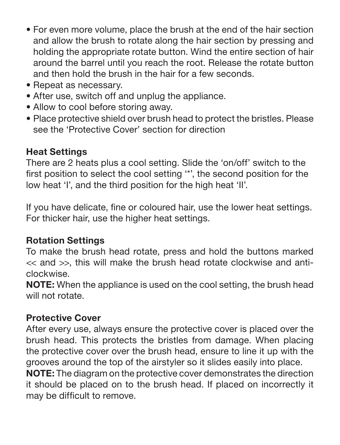- For even more volume, place the brush at the end of the hair section and allow the brush to rotate along the hair section by pressing and holding the appropriate rotate button. Wind the entire section of hair around the barrel until you reach the root. Release the rotate button and then hold the brush in the hair for a few seconds.
- Repeat as necessary.
- After use, switch off and unplug the appliance.
- Allow to cool before storing away.
- Place protective shield over brush head to protect the bristles. Please see the 'Protective Cover' section for direction

## Heat Settings

There are 2 heats plus a cool setting. Slide the 'on/off' switch to the first position to select the cool setting '\*', the second position for the low heat 'I', and the third position for the high heat 'II'.

If you have delicate, fine or coloured hair, use the lower heat settings. For thicker hair, use the higher heat settings.

### Rotation Settings

To make the brush head rotate, press and hold the buttons marked << and >>, this will make the brush head rotate clockwise and anticlockwise.

NOTE: When the appliance is used on the cool setting, the brush head will not rotate

### Protective Cover

After every use, always ensure the protective cover is placed over the brush head. This protects the bristles from damage. When placing the protective cover over the brush head, ensure to line it up with the grooves around the top of the airstyler so it slides easily into place.

NOTE: The diagram on the protective cover demonstrates the direction it should be placed on to the brush head. If placed on incorrectly it may be difficult to remove.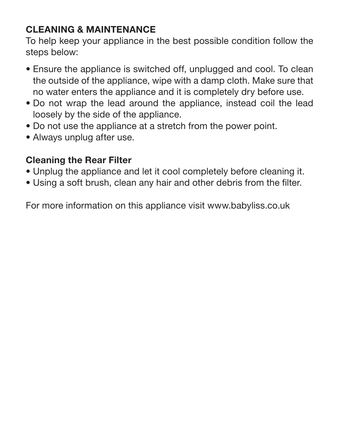# CLEANING & MAINTENANCE

To help keep your appliance in the best possible condition follow the steps below:

- Ensure the appliance is switched off, unplugged and cool. To clean the outside of the appliance, wipe with a damp cloth. Make sure that no water enters the appliance and it is completely dry before use.
- Do not wrap the lead around the appliance, instead coil the lead loosely by the side of the appliance.
- Do not use the appliance at a stretch from the power point.
- Always unplug after use.

# Cleaning the Rear Filter

- Unplug the appliance and let it cool completely before cleaning it.
- Using a soft brush, clean any hair and other debris from the filter.

For more information on this appliance visit www.babyliss.co.uk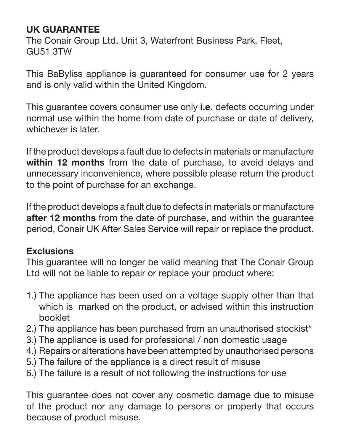## UK GUARANTEE

The Conair Group Ltd, Unit 3, Waterfront Business Park, Fleet, GU51 3TW

This BaByliss appliance is guaranteed for consumer use for 2 years and is only valid within the United Kingdom.

This quarantee covers consumer use only *i.e.* defects occurring under normal use within the home from date of purchase or date of delivery, whichever is later.

If the product develops a fault due to defects in materials or manufacture within 12 months from the date of purchase, to avoid delays and unnecessary inconvenience, where possible please return the product to the point of purchase for an exchange.

If the product develops a fault due to defects in materials or manufacture after 12 months from the date of purchase, and within the quarantee period, Conair UK After Sales Service will repair or replace the product.

#### Exclusions

This guarantee will no longer be valid meaning that The Conair Group Ltd will not be liable to repair or replace your product where:

- 1.) The appliance has been used on a voltage supply other than that which is marked on the product, or advised within this instruction booklet
- 2.) The appliance has been purchased from an unauthorised stockist\*
- 3.) The appliance is used for professional / non domestic usage
- 4.) Repairs or alterations have been attempted by unauthorised persons
- 5.) The failure of the appliance is a direct result of misuse
- 6.) The failure is a result of not following the instructions for use

This guarantee does not cover any cosmetic damage due to misuse of the product nor any damage to persons or property that occurs because of product misuse.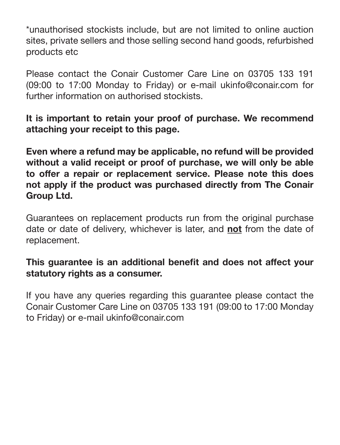\*unauthorised stockists include, but are not limited to online auction sites, private sellers and those selling second hand goods, refurbished products etc

Please contact the Conair Customer Care Line on 03705 133 191 (09:00 to 17:00 Monday to Friday) or e-mail ukinfo@conair.com for further information on authorised stockists.

It is important to retain your proof of purchase. We recommend attaching your receipt to this page.

Even where a refund may be applicable, no refund will be provided without a valid receipt or proof of purchase, we will only be able to offer a repair or replacement service. Please note this does not apply if the product was purchased directly from The Conair Group Ltd.

Guarantees on replacement products run from the original purchase date or date of delivery, whichever is later, and not from the date of replacement.

#### This guarantee is an additional benefit and does not affect your statutory rights as a consumer.

If you have any queries regarding this guarantee please contact the Conair Customer Care Line on 03705 133 191 (09:00 to 17:00 Monday to Friday) or e-mail ukinfo@conair.com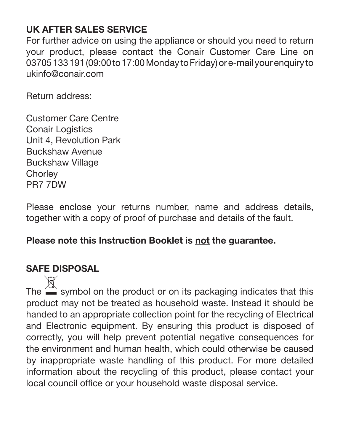# UK AFTER SALES SERVICE

For further advice on using the appliance or should you need to return your product, please contact the Conair Customer Care Line on 03705 133 191 (09:00 to 17:00 Monday to Friday) or e-mail your enquiry to ukinfo@conair.com

Return address:

Customer Care Centre **Conair Logistics** Unit 4, Revolution Park Buckshaw Avenue Buckshaw Village **Chorley** PR7 7DW

Please enclose your returns number, name and address details, together with a copy of proof of purchase and details of the fault.

### Please note this Instruction Booklet is not the guarantee.

# SAFE DISPOSAL

The  $\hat{I}$  symbol on the product or on its packaging indicates that this product may not be treated as household waste. Instead it should be handed to an appropriate collection point for the recycling of Electrical and Electronic equipment. By ensuring this product is disposed of correctly, you will help prevent potential negative consequences for the environment and human health, which could otherwise be caused by inappropriate waste handling of this product. For more detailed information about the recycling of this product, please contact your local council office or your household waste disposal service.